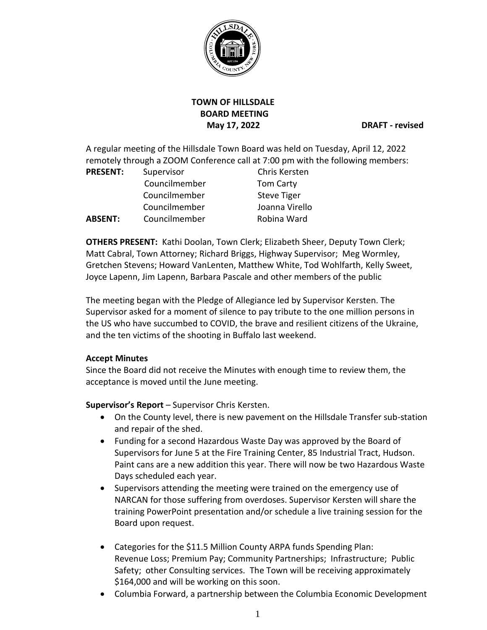

# **TOWN OF HILLSDALE BOARD MEETING May 17, 2022 DRAFT - revised**

A regular meeting of the Hillsdale Town Board was held on Tuesday, April 12, 2022 remotely through a ZOOM Conference call at 7:00 pm with the following members:

| <b>PRESENT:</b> | Supervisor    | Chris Kersten      |
|-----------------|---------------|--------------------|
|                 | Councilmember | <b>Tom Carty</b>   |
|                 | Councilmember | <b>Steve Tiger</b> |
|                 | Councilmember | Joanna Virello     |
| <b>ABSENT:</b>  | Councilmember | Robina Ward        |

**OTHERS PRESENT:** Kathi Doolan, Town Clerk; Elizabeth Sheer, Deputy Town Clerk; Matt Cabral, Town Attorney; Richard Briggs, Highway Supervisor; Meg Wormley, Gretchen Stevens; Howard VanLenten, Matthew White, Tod Wohlfarth, Kelly Sweet, Joyce Lapenn, Jim Lapenn, Barbara Pascale and other members of the public

The meeting began with the Pledge of Allegiance led by Supervisor Kersten. The Supervisor asked for a moment of silence to pay tribute to the one million persons in the US who have succumbed to COVID, the brave and resilient citizens of the Ukraine, and the ten victims of the shooting in Buffalo last weekend.

## **Accept Minutes**

Since the Board did not receive the Minutes with enough time to review them, the acceptance is moved until the June meeting.

**Supervisor's Report** – Supervisor Chris Kersten.

- On the County level, there is new pavement on the Hillsdale Transfer sub-station and repair of the shed.
- Funding for a second Hazardous Waste Day was approved by the Board of Supervisors for June 5 at the Fire Training Center, 85 Industrial Tract, Hudson. Paint cans are a new addition this year. There will now be two Hazardous Waste Days scheduled each year.
- Supervisors attending the meeting were trained on the emergency use of NARCAN for those suffering from overdoses. Supervisor Kersten will share the training PowerPoint presentation and/or schedule a live training session for the Board upon request.
- Categories for the \$11.5 Million County ARPA funds Spending Plan: Revenue Loss; Premium Pay; Community Partnerships; Infrastructure; Public Safety; other Consulting services. The Town will be receiving approximately \$164,000 and will be working on this soon.
- Columbia Forward, a partnership between the Columbia Economic Development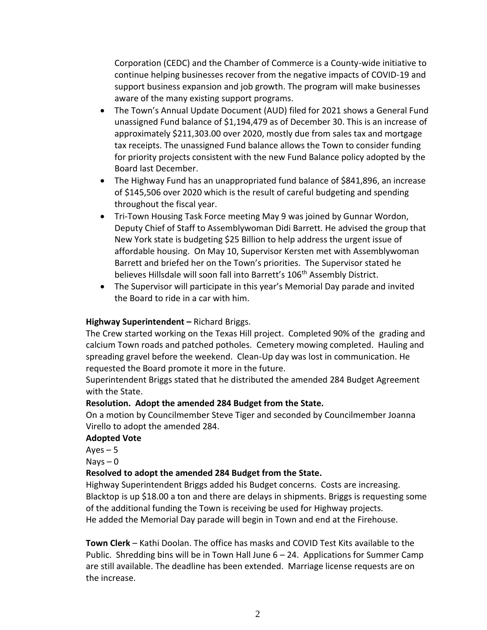Corporation (CEDC) and the Chamber of Commerce is a County-wide initiative to continue helping businesses recover from the negative impacts of COVID-19 and support business expansion and job growth. The program will make businesses aware of the many existing support programs.

- The Town's Annual Update Document (AUD) filed for 2021 shows a General Fund unassigned Fund balance of \$1,194,479 as of December 30. This is an increase of approximately \$211,303.00 over 2020, mostly due from sales tax and mortgage tax receipts. The unassigned Fund balance allows the Town to consider funding for priority projects consistent with the new Fund Balance policy adopted by the Board last December.
- The Highway Fund has an unappropriated fund balance of \$841,896, an increase of \$145,506 over 2020 which is the result of careful budgeting and spending throughout the fiscal year.
- Tri-Town Housing Task Force meeting May 9 was joined by Gunnar Wordon, Deputy Chief of Staff to Assemblywoman Didi Barrett. He advised the group that New York state is budgeting \$25 Billion to help address the urgent issue of affordable housing. On May 10, Supervisor Kersten met with Assemblywoman Barrett and briefed her on the Town's priorities. The Supervisor stated he believes Hillsdale will soon fall into Barrett's 106<sup>th</sup> Assembly District.
- The Supervisor will participate in this year's Memorial Day parade and invited the Board to ride in a car with him.

## **Highway Superintendent –** Richard Briggs.

The Crew started working on the Texas Hill project. Completed 90% of the grading and calcium Town roads and patched potholes. Cemetery mowing completed. Hauling and spreading gravel before the weekend. Clean-Up day was lost in communication. He requested the Board promote it more in the future.

Superintendent Briggs stated that he distributed the amended 284 Budget Agreement with the State.

## **Resolution. Adopt the amended 284 Budget from the State.**

On a motion by Councilmember Steve Tiger and seconded by Councilmember Joanna Virello to adopt the amended 284.

## **Adopted Vote**

 $Ayes - 5$ 

 $Nays - 0$ 

## **Resolved to adopt the amended 284 Budget from the State.**

Highway Superintendent Briggs added his Budget concerns. Costs are increasing. Blacktop is up \$18.00 a ton and there are delays in shipments. Briggs is requesting some of the additional funding the Town is receiving be used for Highway projects. He added the Memorial Day parade will begin in Town and end at the Firehouse.

**Town Clerk** – Kathi Doolan. The office has masks and COVID Test Kits available to the Public. Shredding bins will be in Town Hall June 6 – 24. Applications for Summer Camp are still available. The deadline has been extended. Marriage license requests are on the increase.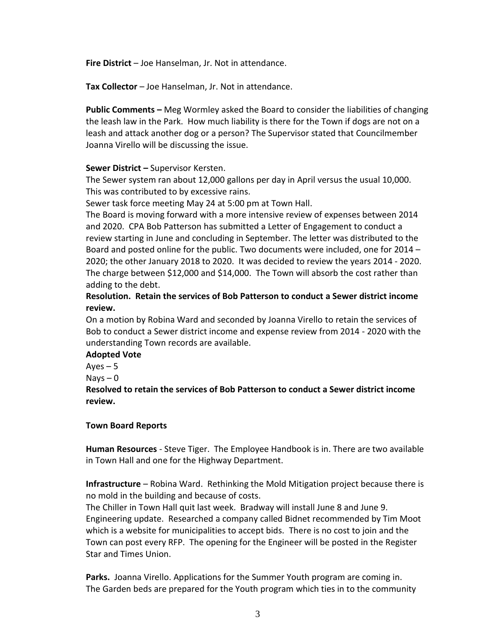**Fire District** – Joe Hanselman, Jr. Not in attendance.

**Tax Collector** – Joe Hanselman, Jr. Not in attendance.

**Public Comments –** Meg Wormley asked the Board to consider the liabilities of changing the leash law in the Park. How much liability is there for the Town if dogs are not on a leash and attack another dog or a person? The Supervisor stated that Councilmember Joanna Virello will be discussing the issue.

### **Sewer District –** Supervisor Kersten.

The Sewer system ran about 12,000 gallons per day in April versus the usual 10,000. This was contributed to by excessive rains.

Sewer task force meeting May 24 at 5:00 pm at Town Hall.

The Board is moving forward with a more intensive review of expenses between 2014 and 2020. CPA Bob Patterson has submitted a Letter of Engagement to conduct a review starting in June and concluding in September. The letter was distributed to the Board and posted online for the public. Two documents were included, one for 2014 – 2020; the other January 2018 to 2020. It was decided to review the years 2014 - 2020. The charge between \$12,000 and \$14,000. The Town will absorb the cost rather than adding to the debt.

**Resolution. Retain the services of Bob Patterson to conduct a Sewer district income review.**

On a motion by Robina Ward and seconded by Joanna Virello to retain the services of Bob to conduct a Sewer district income and expense review from 2014 - 2020 with the understanding Town records are available.

## **Adopted Vote**

 $Ayes - 5$ 

Nays  $-0$ 

**Resolved to retain the services of Bob Patterson to conduct a Sewer district income review.**

#### **Town Board Reports**

**Human Resources** - Steve Tiger. The Employee Handbook is in. There are two available in Town Hall and one for the Highway Department.

**Infrastructure** – Robina Ward. Rethinking the Mold Mitigation project because there is no mold in the building and because of costs.

The Chiller in Town Hall quit last week. Bradway will install June 8 and June 9. Engineering update. Researched a company called Bidnet recommended by Tim Moot which is a website for municipalities to accept bids. There is no cost to join and the Town can post every RFP. The opening for the Engineer will be posted in the Register Star and Times Union.

**Parks.** Joanna Virello. Applications for the Summer Youth program are coming in. The Garden beds are prepared for the Youth program which ties in to the community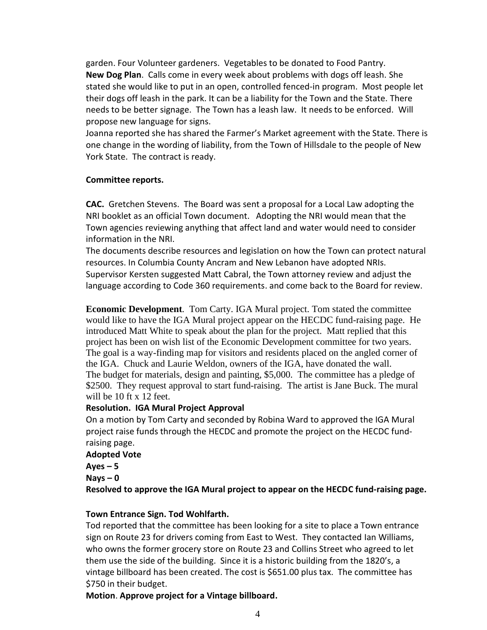garden. Four Volunteer gardeners. Vegetables to be donated to Food Pantry. **New Dog Plan**. Calls come in every week about problems with dogs off leash. She stated she would like to put in an open, controlled fenced-in program. Most people let their dogs off leash in the park. It can be a liability for the Town and the State. There needs to be better signage. The Town has a leash law. It needs to be enforced. Will propose new language for signs.

Joanna reported she has shared the Farmer's Market agreement with the State. There is one change in the wording of liability, from the Town of Hillsdale to the people of New York State. The contract is ready.

### **Committee reports.**

**CAC.** Gretchen Stevens. The Board was sent a proposal for a Local Law adopting the NRI booklet as an official Town document. Adopting the NRI would mean that the Town agencies reviewing anything that affect land and water would need to consider information in the NRI.

The documents describe resources and legislation on how the Town can protect natural resources. In Columbia County Ancram and New Lebanon have adopted NRIs. Supervisor Kersten suggested Matt Cabral, the Town attorney review and adjust the language according to Code 360 requirements. and come back to the Board for review.

**Economic Development**. Tom Carty. IGA Mural project. Tom stated the committee would like to have the IGA Mural project appear on the HECDC fund-raising page. He introduced Matt White to speak about the plan for the project. Matt replied that this project has been on wish list of the Economic Development committee for two years. The goal is a way-finding map for visitors and residents placed on the angled corner of the IGA. Chuck and Laurie Weldon, owners of the IGA, have donated the wall. The budget for materials, design and painting, \$5,000. The committee has a pledge of \$2500. They request approval to start fund-raising. The artist is Jane Buck. The mural will be 10 ft x 12 feet.

## **Resolution. IGA Mural Project Approval**

On a motion by Tom Carty and seconded by Robina Ward to approved the IGA Mural project raise funds through the HECDC and promote the project on the HECDC fundraising page.

#### **Adopted Vote**

 $A$ **yes**  $-5$ 

**Nays – 0**

**Resolved to approve the IGA Mural project to appear on the HECDC fund-raising page.**

## **Town Entrance Sign. Tod Wohlfarth.**

Tod reported that the committee has been looking for a site to place a Town entrance sign on Route 23 for drivers coming from East to West. They contacted Ian Williams, who owns the former grocery store on Route 23 and Collins Street who agreed to let them use the side of the building. Since it is a historic building from the 1820's, a vintage billboard has been created. The cost is \$651.00 plus tax. The committee has \$750 in their budget.

**Motion**. **Approve project for a Vintage billboard.**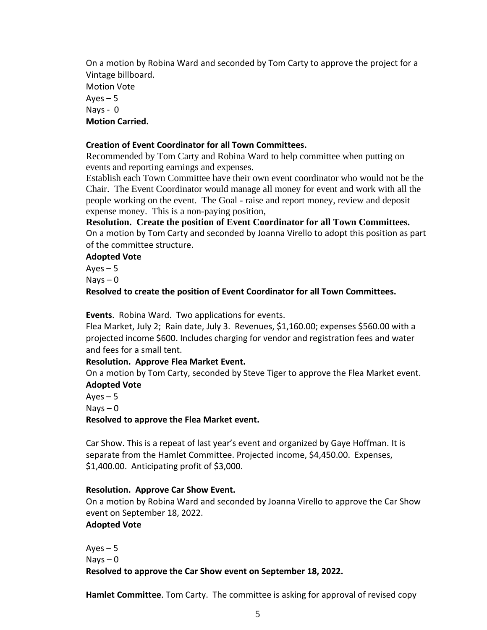On a motion by Robina Ward and seconded by Tom Carty to approve the project for a Vintage billboard. Motion Vote Aves  $-5$ Nays - 0 **Motion Carried.**

#### **Creation of Event Coordinator for all Town Committees.**

Recommended by Tom Carty and Robina Ward to help committee when putting on events and reporting earnings and expenses.

Establish each Town Committee have their own event coordinator who would not be the Chair. The Event Coordinator would manage all money for event and work with all the people working on the event. The Goal - raise and report money, review and deposit expense money. This is a non-paying position,

**Resolution. Create the position of Event Coordinator for all Town Committees.** On a motion by Tom Carty and seconded by Joanna Virello to adopt this position as part of the committee structure.

### **Adopted Vote**

Aves  $-5$ 

 $Nays - 0$ 

**Resolved to create the position of Event Coordinator for all Town Committees.**

**Events**. Robina Ward. Two applications for events.

Flea Market, July 2; Rain date, July 3. Revenues, \$1,160.00; expenses \$560.00 with a projected income \$600. Includes charging for vendor and registration fees and water and fees for a small tent.

#### **Resolution. Approve Flea Market Event.**

On a motion by Tom Carty, seconded by Steve Tiger to approve the Flea Market event. **Adopted Vote**

Ayes  $-5$ 

 $N$ ays  $-0$ 

**Resolved to approve the Flea Market event.**

Car Show. This is a repeat of last year's event and organized by Gaye Hoffman. It is separate from the Hamlet Committee. Projected income, \$4,450.00. Expenses, \$1,400.00. Anticipating profit of \$3,000.

#### **Resolution. Approve Car Show Event.**

On a motion by Robina Ward and seconded by Joanna Virello to approve the Car Show event on September 18, 2022.

#### **Adopted Vote**

Ayes  $-5$  $Nays - 0$ **Resolved to approve the Car Show event on September 18, 2022.**

**Hamlet Committee**. Tom Carty. The committee is asking for approval of revised copy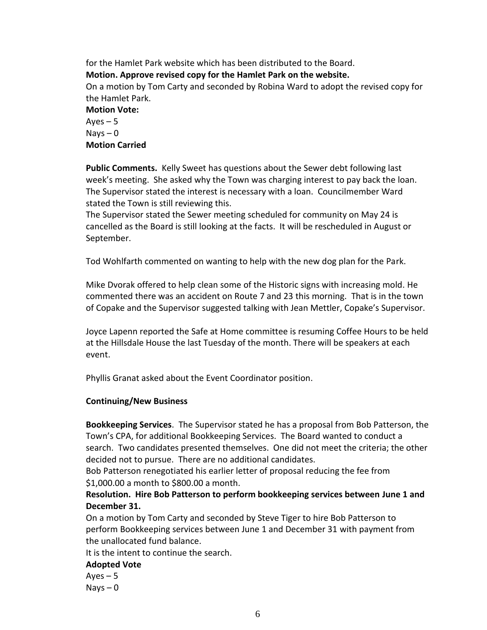for the Hamlet Park website which has been distributed to the Board. **Motion. Approve revised copy for the Hamlet Park on the website.** On a motion by Tom Carty and seconded by Robina Ward to adopt the revised copy for the Hamlet Park. **Motion Vote:**  $Ayes - 5$  $N$ ays  $-0$ **Motion Carried**

**Public Comments.** Kelly Sweet has questions about the Sewer debt following last week's meeting. She asked why the Town was charging interest to pay back the loan. The Supervisor stated the interest is necessary with a loan. Councilmember Ward stated the Town is still reviewing this.

The Supervisor stated the Sewer meeting scheduled for community on May 24 is cancelled as the Board is still looking at the facts. It will be rescheduled in August or September.

Tod Wohlfarth commented on wanting to help with the new dog plan for the Park.

Mike Dvorak offered to help clean some of the Historic signs with increasing mold. He commented there was an accident on Route 7 and 23 this morning. That is in the town of Copake and the Supervisor suggested talking with Jean Mettler, Copake's Supervisor.

Joyce Lapenn reported the Safe at Home committee is resuming Coffee Hours to be held at the Hillsdale House the last Tuesday of the month. There will be speakers at each event.

Phyllis Granat asked about the Event Coordinator position.

#### **Continuing/New Business**

**Bookkeeping Services**. The Supervisor stated he has a proposal from Bob Patterson, the Town's CPA, for additional Bookkeeping Services. The Board wanted to conduct a search. Two candidates presented themselves. One did not meet the criteria; the other decided not to pursue. There are no additional candidates.

Bob Patterson renegotiated his earlier letter of proposal reducing the fee from \$1,000.00 a month to \$800.00 a month.

**Resolution. Hire Bob Patterson to perform bookkeeping services between June 1 and December 31.**

On a motion by Tom Carty and seconded by Steve Tiger to hire Bob Patterson to perform Bookkeeping services between June 1 and December 31 with payment from the unallocated fund balance.

It is the intent to continue the search.

## **Adopted Vote**

Ayes  $-5$  $Nays - 0$ 

6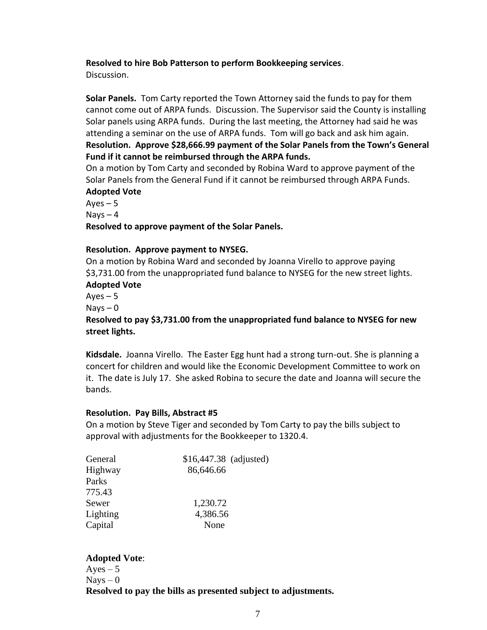#### **Resolved to hire Bob Patterson to perform Bookkeeping services**.

Discussion.

**Solar Panels.** Tom Carty reported the Town Attorney said the funds to pay for them cannot come out of ARPA funds. Discussion. The Supervisor said the County is installing Solar panels using ARPA funds. During the last meeting, the Attorney had said he was attending a seminar on the use of ARPA funds. Tom will go back and ask him again. **Resolution. Approve \$28,666.99 payment of the Solar Panels from the Town's General Fund if it cannot be reimbursed through the ARPA funds.**

On a motion by Tom Carty and seconded by Robina Ward to approve payment of the Solar Panels from the General Fund if it cannot be reimbursed through ARPA Funds. **Adopted Vote**

Ayes  $-5$ Nays  $-4$ **Resolved to approve payment of the Solar Panels.**

#### **Resolution. Approve payment to NYSEG.**

On a motion by Robina Ward and seconded by Joanna Virello to approve paying \$3,731.00 from the unappropriated fund balance to NYSEG for the new street lights. **Adopted Vote**

 $Ayes - 5$ 

 $N$ ays  $-0$ 

**Resolved to pay \$3,731.00 from the unappropriated fund balance to NYSEG for new street lights.**

**Kidsdale.** Joanna Virello. The Easter Egg hunt had a strong turn-out. She is planning a concert for children and would like the Economic Development Committee to work on it. The date is July 17. She asked Robina to secure the date and Joanna will secure the bands.

#### **Resolution. Pay Bills, Abstract #5**

On a motion by Steve Tiger and seconded by Tom Carty to pay the bills subject to approval with adjustments for the Bookkeeper to 1320.4.

| General  | \$16,447.38 (adjusted) |  |
|----------|------------------------|--|
| Highway  | 86,646.66              |  |
| Parks    |                        |  |
| 775.43   |                        |  |
| Sewer    | 1,230.72               |  |
| Lighting | 4,386.56               |  |
| Capital  | None                   |  |

## **Adopted Vote**:

 $Ayes - 5$  $N$ ays  $-0$ **Resolved to pay the bills as presented subject to adjustments.**